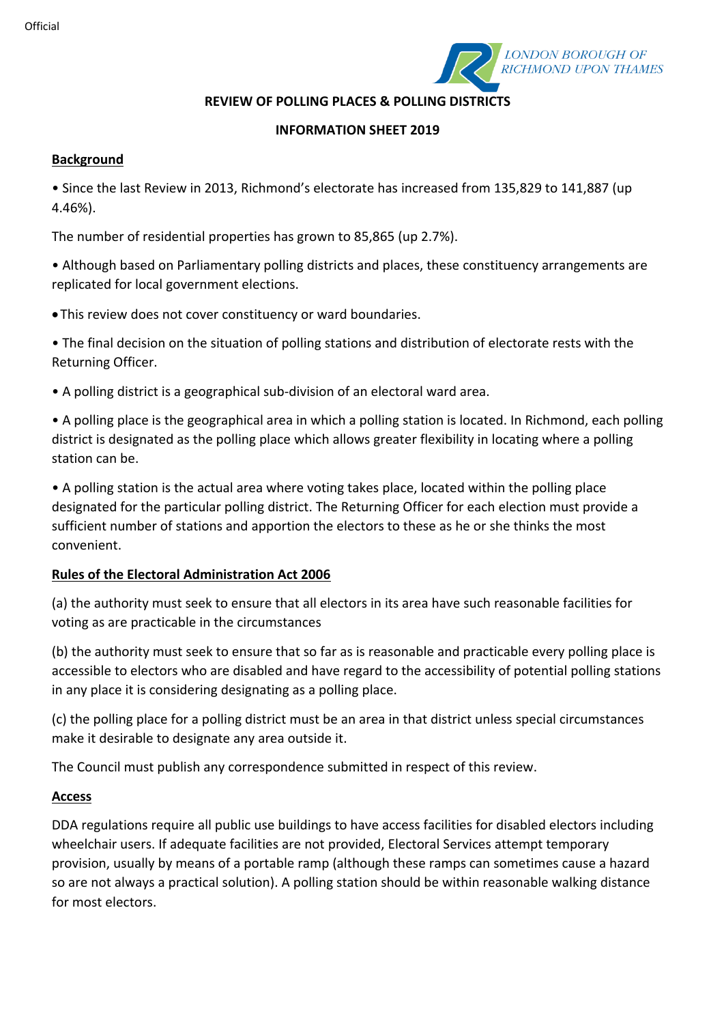

**REVIEW OF POLLING PLACES & POLLING DISTRICTS**

### **INFORMATION SHEET 2019**

## **Background**

• Since the last Review in 2013, Richmond's electorate has increased from 135,829 to 141,887 (up 4.46%).

The number of residential properties has grown to 85,865 (up 2.7%).

• Although based on Parliamentary polling districts and places, these constituency arrangements are replicated for local government elections.

• This review does not cover constituency or ward boundaries.

• The final decision on the situation of polling stations and distribution of electorate rests with the Returning Officer.

• A polling district is a geographical sub-division of an electoral ward area.

• A polling place is the geographical area in which a polling station is located. In Richmond, each polling district is designated as the polling place which allows greater flexibility in locating where a polling station can be.

• A polling station is the actual area where voting takes place, located within the polling place designated for the particular polling district. The Returning Officer for each election must provide a sufficient number of stations and apportion the electors to these as he or she thinks the most convenient.

## **Rules of the Electoral Administration Act 2006**

(a) the authority must seek to ensure that all electors in its area have such reasonable facilities for voting as are practicable in the circumstances

(b) the authority must seek to ensure that so far as is reasonable and practicable every polling place is accessible to electors who are disabled and have regard to the accessibility of potential polling stations in any place it is considering designating as a polling place.

(c) the polling place for a polling district must be an area in that district unless special circumstances make it desirable to designate any area outside it.

The Council must publish any correspondence submitted in respect of this review.

### **Access**

DDA regulations require all public use buildings to have access facilities for disabled electors including wheelchair users. If adequate facilities are not provided, Electoral Services attempt temporary provision, usually by means of a portable ramp (although these ramps can sometimes cause a hazard so are not always a practical solution). A polling station should be within reasonable walking distance for most electors.